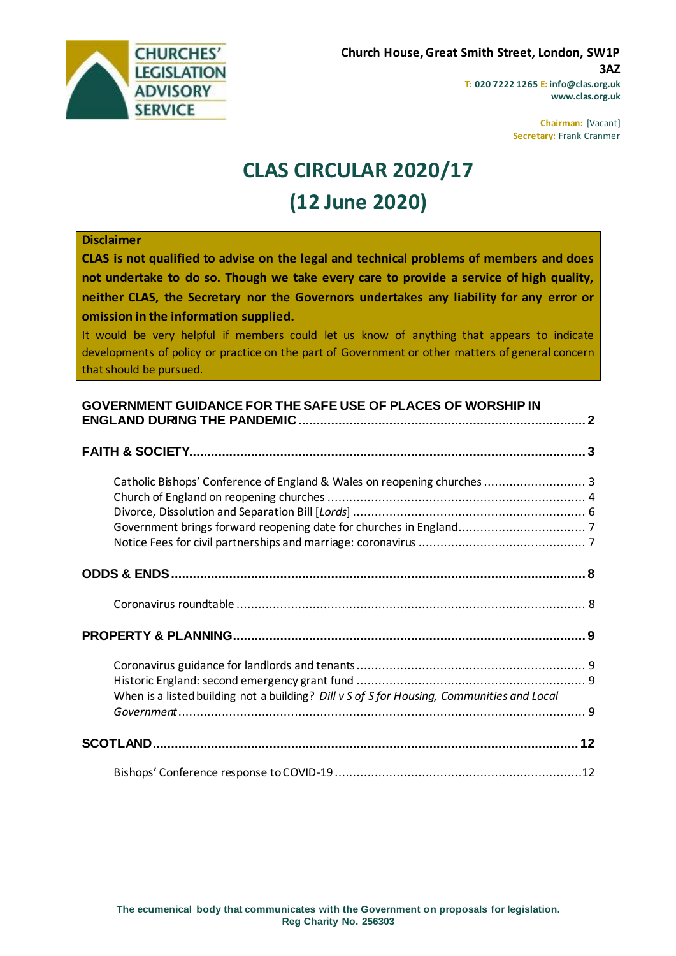

**T: 020 7222 1265 E: info@clas.org.uk www.clas.org.uk**

> **Chairman:** [Vacant] **Secretary:** Frank Cranmer

# **CLAS CIRCULAR 2020/17**

# **(12 June 2020)**

#### **Disclaimer**

**CLAS is not qualified to advise on the legal and technical problems of members and does not undertake to do so. Though we take every care to provide a service of high quality, neither CLAS, the Secretary nor the Governors undertakes any liability for any error or omission in the information supplied.**

It would be very helpful if members could let us know of anything that appears to indicate developments of policy or practice on the part of Government or other matters of general concern that should be pursued.

#### **[GOVERNMENT GUIDANCE FOR THE SAFE USE OF PLACES OF WORSHIP IN](#page-1-0)  [ENGLAND DURING THE PANDEMIC...............................................................................](#page-1-0) 2**

| Catholic Bishops' Conference of England & Wales on reopening churches  3                   |  |
|--------------------------------------------------------------------------------------------|--|
|                                                                                            |  |
|                                                                                            |  |
|                                                                                            |  |
| When is a listed building not a building? Dill v S of S for Housing, Communities and Local |  |
|                                                                                            |  |
|                                                                                            |  |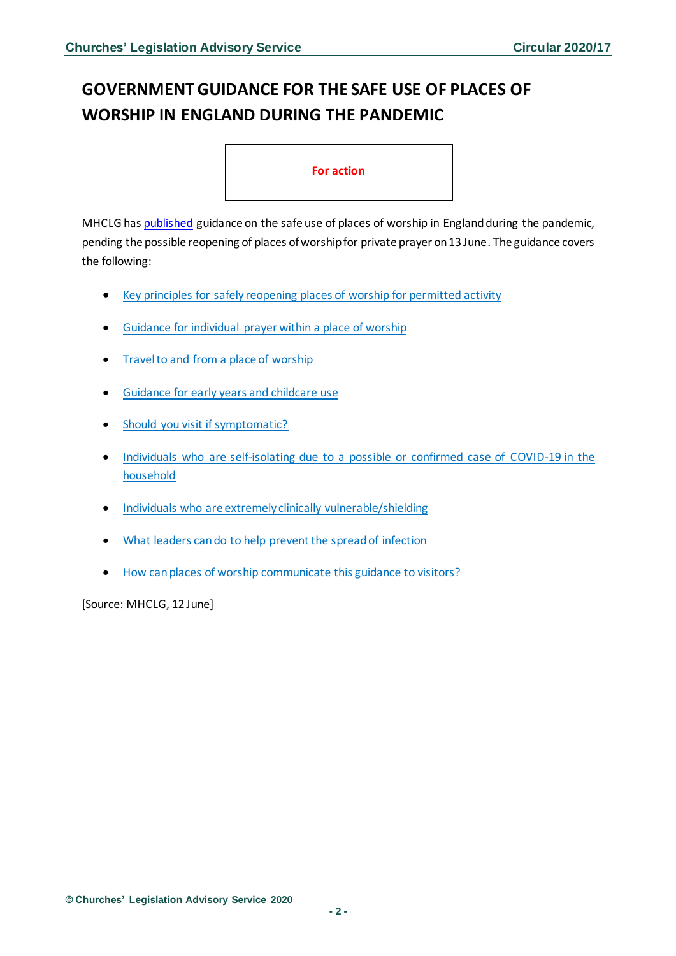# <span id="page-1-0"></span>**GOVERNMENT GUIDANCE FOR THE SAFE USE OF PLACES OF WORSHIP IN ENGLAND DURING THE PANDEMIC**

#### **For action**

MHCLG ha[s published](https://www.gov.uk/government/publications/covid-19-guidance-for-the-safe-use-of-places-of-worship-during-the-pandemic/covid-19-guidance-for-the-safe-use-of-places-of-worship-during-the-pandemic) guidance on the safe use of places of worship in Englandduring the pandemic, pending the possible reopening of places of worship for private prayer on 13 June. The guidance covers the following:

- Key principles for safely reopening places of worship for [permitted](https://www.gov.uk/government/publications/covid-19-guidance-for-the-safe-use-of-places-of-worship-during-the-pandemic/covid-19-guidance-for-the-safe-use-of-places-of-worship-during-the-pandemic#section3) activity
- Guidance for [individual](https://www.gov.uk/government/publications/covid-19-guidance-for-the-safe-use-of-places-of-worship-during-the-pandemic/covid-19-guidance-for-the-safe-use-of-places-of-worship-during-the-pandemic#section4) prayer within a place of worship
- [Travelto](https://www.gov.uk/government/publications/covid-19-guidance-for-the-safe-use-of-places-of-worship-during-the-pandemic/covid-19-guidance-for-the-safe-use-of-places-of-worship-during-the-pandemic#section5) and from a place of worship
- [Guidance](https://www.gov.uk/government/publications/covid-19-guidance-for-the-safe-use-of-places-of-worship-during-the-pandemic/covid-19-guidance-for-the-safe-use-of-places-of-worship-during-the-pandemic#guidance-for-early-years-and-childcare-use) for early years and childcare use
- Should you visit if symptomatic?
- Individuals who are [self-isolating](https://www.gov.uk/government/publications/covid-19-guidance-for-the-safe-use-of-places-of-worship-during-the-pandemic/covid-19-guidance-for-the-safe-use-of-places-of-worship-during-the-pandemic#individuals-who-are-self-isolating-due-to-a-possible-or-confirmed-case-of-covid-19-in-the-household) due to a possible or confirmed case of COVID-19 in the [household](https://www.gov.uk/government/publications/covid-19-guidance-for-the-safe-use-of-places-of-worship-during-the-pandemic/covid-19-guidance-for-the-safe-use-of-places-of-worship-during-the-pandemic#individuals-who-are-self-isolating-due-to-a-possible-or-confirmed-case-of-covid-19-in-the-household)
- Individuals who are extremely clinically [vulnerable/shielding](https://www.gov.uk/government/publications/covid-19-guidance-for-the-safe-use-of-places-of-worship-during-the-pandemic/covid-19-guidance-for-the-safe-use-of-places-of-worship-during-the-pandemic#individuals-who-are-extremely-clinically-vulnerableshielding)
- What leaders cando to help prevent the [spreadof](https://www.gov.uk/government/publications/covid-19-guidance-for-the-safe-use-of-places-of-worship-during-the-pandemic/covid-19-guidance-for-the-safe-use-of-places-of-worship-during-the-pandemic#what-leaders-can-do-to-help-prevent-the-spread-of-infection) infection
- How canplaces of worship [communicate](https://www.gov.uk/government/publications/covid-19-guidance-for-the-safe-use-of-places-of-worship-during-the-pandemic/covid-19-guidance-for-the-safe-use-of-places-of-worship-during-the-pandemic#how-can-places-of-worship-communicate-this-guidance-to-visitors) this guidance to visitors?

[Source: MHCLG, 12 June]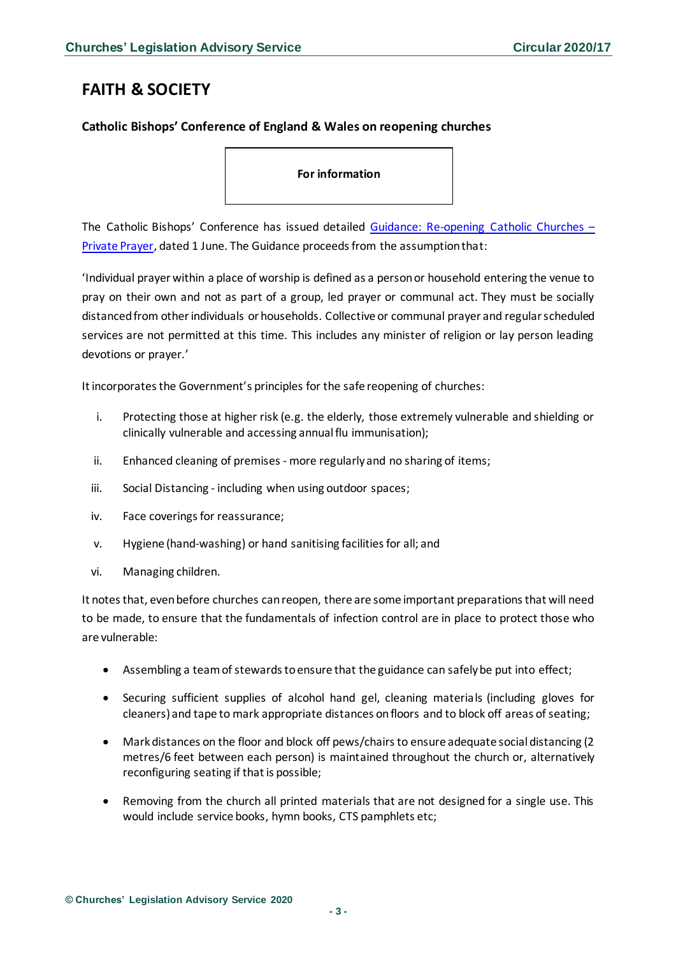# <span id="page-2-0"></span>**FAITH & SOCIETY**

#### <span id="page-2-1"></span>**Catholic Bishops' Conference of England & Wales on reopening churches**

**For information** 

The Catholic Bishops' Conference has issued detailed [Guidance: Re-opening Catholic Churches](https://www.cbcew.org.uk/wp-content/uploads/sites/3/2020/06/Guidance-Reopening-Catholic-Churches-Indiv-Prayer-100620-1633.pdf) – [Private Prayer,](https://www.cbcew.org.uk/wp-content/uploads/sites/3/2020/06/Guidance-Reopening-Catholic-Churches-Indiv-Prayer-100620-1633.pdf) dated 1 June. The Guidance proceeds from the assumption that:

'Individual prayer within a place of worship is defined as a person or household entering the venue to pray on their own and not as part of a group, led prayer or communal act. They must be socially distanced from other individuals or households. Collective or communal prayer and regular scheduled services are not permitted at this time. This includes any minister of religion or lay person leading devotions or prayer.'

It incorporates the Government's principles for the safe reopening of churches:

- i. Protecting those at higher risk (e.g. the elderly, those extremely vulnerable and shielding or clinically vulnerable and accessing annual flu immunisation);
- ii. Enhanced cleaning of premises more regularly and no sharing of items;
- iii. Social Distancing including when using outdoor spaces;
- iv. Face coverings for reassurance;
- v. Hygiene (hand-washing) or hand sanitising facilities for all; and
- vi. Managing children.

It notes that, even before churches can reopen, there are some important preparations that will need to be made, to ensure that the fundamentals of infection control are in place to protect those who are vulnerable:

- Assembling a team of stewards to ensure that the guidance can safely be put into effect;
- Securing sufficient supplies of alcohol hand gel, cleaning materials (including gloves for cleaners) and tape to mark appropriate distances on floors and to block off areas of seating;
- Mark distances on the floor and block off pews/chairs to ensure adequate social distancing (2 metres/6 feet between each person) is maintained throughout the church or, alternatively reconfiguring seating if that is possible;
- Removing from the church all printed materials that are not designed for a single use. This would include service books, hymn books, CTS pamphlets etc;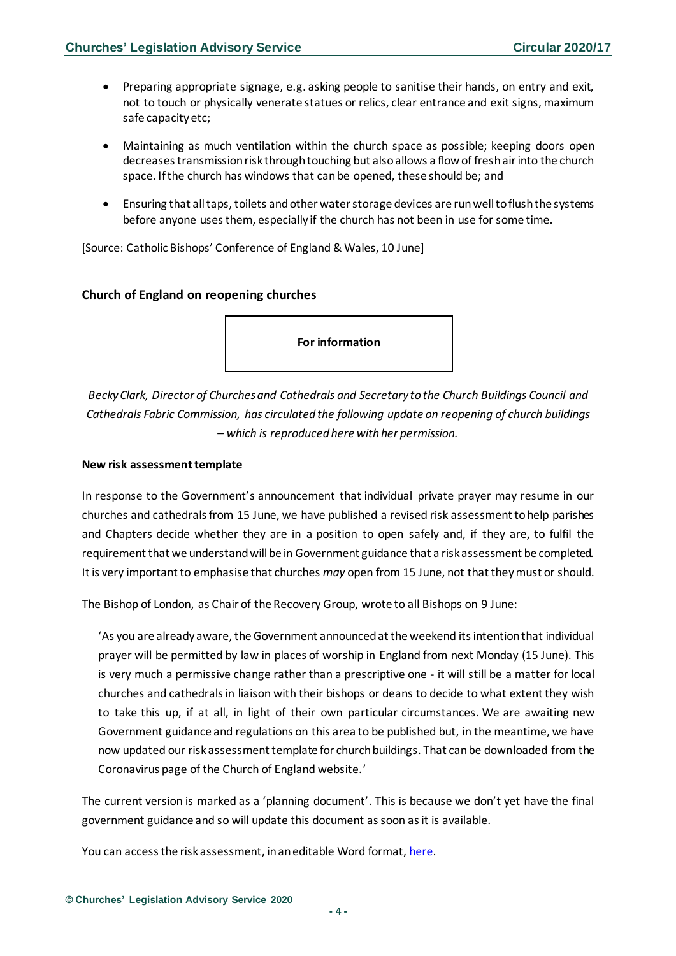- Preparing appropriate signage, e.g. asking people to sanitise their hands, on entry and exit, not to touch or physically venerate statues or relics, clear entrance and exit signs, maximum safe capacity etc;
- Maintaining as much ventilation within the church space as possible; keeping doors open decreases transmission risk through touching but also allows a flow of fresh air into the church space. If the church has windows that can be opened, these should be; and
- Ensuring that all taps, toilets and other water storage devices are run well to flush the systems before anyone uses them, especially if the church has not been in use for some time.

[Source: Catholic Bishops' Conference of England & Wales, 10 June]

#### <span id="page-3-0"></span>**Church of England on reopening churches**

**For information** 

*Becky Clark, Director of Churches and Cathedrals and Secretary to the Church Buildings Council and Cathedrals Fabric Commission, has circulated the following update on reopening of church buildings – which is reproduced here with her permission.*

#### **New risk assessment template**

In response to the Government's announcement that individual private prayer may resume in our churches and cathedrals from 15 June, we have published a revised risk assessment to help parishes and Chapters decide whether they are in a position to open safely and, if they are, to fulfil the requirement that we understand will be in Government guidance that a risk assessment be completed. It is very important to emphasise that churches *may* open from 15 June, not that they must or should.

The Bishop of London, as Chair of the Recovery Group, wrote to all Bishops on 9 June:

'As you are already aware, the Government announced at the weekend its intention that individual prayer will be permitted by law in places of worship in England from next Monday (15 June). This is very much a permissive change rather than a prescriptive one - it will still be a matter for local churches and cathedrals in liaison with their bishops or deans to decide to what extent they wish to take this up, if at all, in light of their own particular circumstances. We are awaiting new Government guidance and regulations on this area to be published but, in the meantime, we have now updated our risk assessment template for church buildings. That can be downloaded from the Coronavirus page of the Church of England website.'

The current version is marked as a 'planning document'. This is because we don't yet have the final government guidance and so will update this document as soon as it is available.

You can access the risk assessment, in an editable Word format, [here.](https://www.churchofengland.org/media/20510)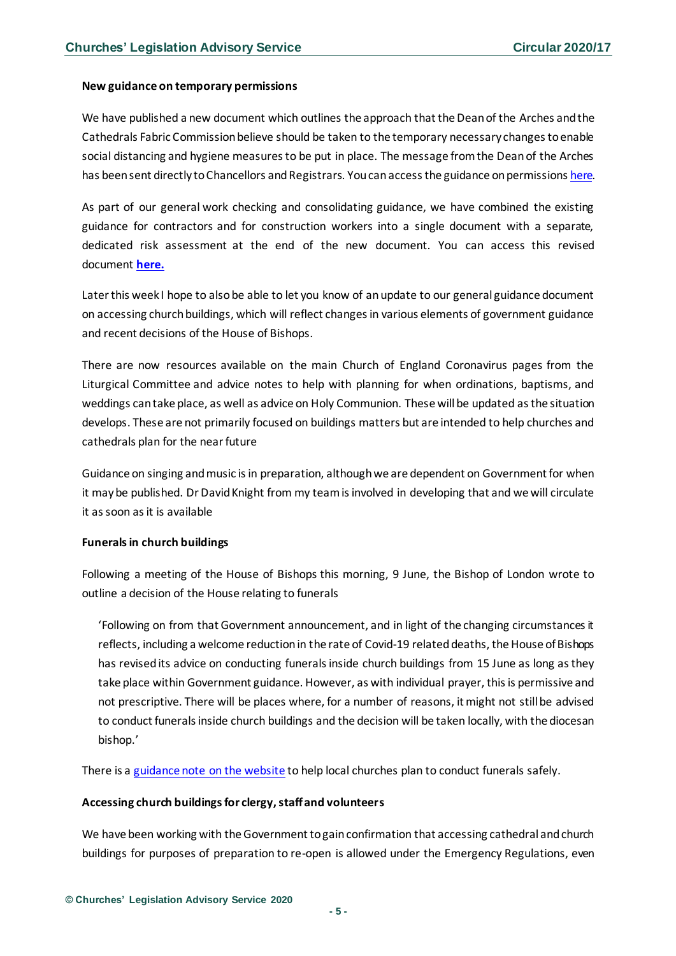#### **New guidance on temporary permissions**

We have published a new document which outlines the approach that the Dean of the Arches and the Cathedrals Fabric Commission believe should be taken to the temporary necessary changes to enable social distancing and hygiene measures to be put in place. The message from the Dean of the Arches has been sent directly to Chancellors and Registrars. You can access the guidance on permissions [here.](https://eur02.safelinks.protection.outlook.com/?url=https%3A%2F%2Fwww.churchofengland.org%2Fsites%2Fdefault%2Ffiles%2F2020-06%2FPermission%2520for%2520temporary%2520changes%2520to%2520cathedral%2520and%2520church%2520buildings%2520v.1.pdf&data=02%7C01%7Cbecky.clark%40churchofengland.org%7C490ed4bddbfb4de4708b08d80c96d7cf%7C95e2463b3ab047b49ac1587c77ee84f0%7C0%7C1%7C637273189298312943&sdata=SyddUPXkvrIvK2ZXbpEuLEsUQ489JOLGOnE%2FrdgWjE4%3D&reserved=0)

As part of our general work checking and consolidating guidance, we have combined the existing guidance for contractors and for construction workers into a single document with a separate, dedicated risk assessment at the end of the new document. You can access this revised document **[here.](https://eur02.safelinks.protection.outlook.com/?url=https%3A%2F%2Fwww.churchofengland.org%2Fsites%2Fdefault%2Ffiles%2F2020-06%2FAccess%2520to%2520church%2520buildings%2520for%2520construction%2520%2520professional%2520contractors%2520v.2_0.pdf&data=02%7C01%7Cbecky.clark%40churchofengland.org%7C490ed4bddbfb4de4708b08d80c96d7cf%7C95e2463b3ab047b49ac1587c77ee84f0%7C0%7C1%7C637273189298322936&sdata=JtLZDL3RALFYZKODaOG4%2Ftu7WW4hexxRzwyYMXuV5mg%3D&reserved=0)**

Later this week I hope to also be able to let you know of an update to our general guidance document on accessing church buildings, which will reflect changes in various elements of government guidance and recent decisions of the House of Bishops.

There are now resources available on the main Church of England Coronavirus pages from the Liturgical Committee and advice notes to help with planning for when ordinations, baptisms, and weddings can take place, as well as advice on Holy Communion. These will be updated as the situation develops. These are not primarily focused on buildings matters but are intended to help churches and cathedrals plan for the near future

Guidance on singing and music is in preparation, although we are dependent on Government for when it may be published. Dr David Knight from my team is involved in developing that and we will circulate it as soon as it is available

#### **Funerals in church buildings**

Following a meeting of the House of Bishops this morning, 9 June, the Bishop of London wrote to outline a decision of the House relating to funerals

'Following on from that Government announcement, and in light of the changing circumstances it reflects, including a welcome reduction in the rate of Covid-19 related deaths, the House of Bishops has revised its advice on conducting funerals inside church buildings from 15 June as long as they take place within Government guidance. However, as with individual prayer, this is permissive and not prescriptive. There will be places where, for a number of reasons, it might not still be advised to conduct funerals inside church buildings and the decision will be taken locally, with the diocesan bishop.'

There is a [guidance note on the website](https://www.churchofengland.org/sites/default/files/2020-06/COVID%2019%20Advice%20on%20Conducting%20Funerals%20v2.2.pdf) to help local churches plan to conduct funerals safely.

#### **Accessing church buildings for clergy, staff and volunteers**

We have been working with the Government to gain confirmation that accessing cathedral and church buildings for purposes of preparation to re-open is allowed under the Emergency Regulations, even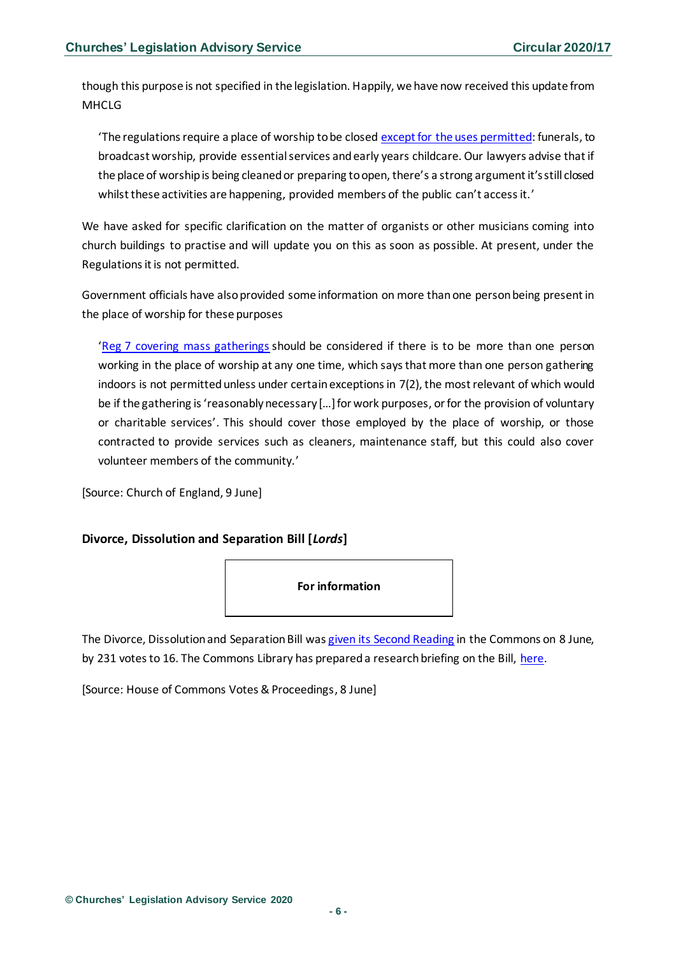though this purpose is not specified in the legislation. Happily, we have now received this update from MHCLG

'The regulations require a place of worship to be closed [except for the uses permitted:](https://eur02.safelinks.protection.outlook.com/?url=http%3A%2F%2Fwww.legislation.gov.uk%2Fuksi%2F2020%2F350%2Fregulation%2F5&data=02%7C01%7Cbecky.clark%40churchofengland.org%7C490ed4bddbfb4de4708b08d80c96d7cf%7C95e2463b3ab047b49ac1587c77ee84f0%7C0%7C1%7C637273189298332933&sdata=Cz16CrQcJ%2BC7lVAbdXXIq%2BmzWs8lQG8REZu2aN%2FtbZk%3D&reserved=0) funerals, to broadcast worship, provide essential services and early years childcare. Our lawyers advise that if the place of worship is being cleaned or preparing to open, there's a strong argument it's still closed whilst these activities are happening, provided members of the public can't access it.'

We have asked for specific clarification on the matter of organists or other musicians coming into church buildings to practise and will update you on this as soon as possible. At present, under the Regulations it is not permitted.

Government officials have also provided some information on more than one person being present in the place of worship for these purposes

'[Reg 7 covering mass gatherings](https://eur02.safelinks.protection.outlook.com/?url=http%3A%2F%2Fwww.legislation.gov.uk%2Fuksi%2F2020%2F350%2Fregulation%2F7&data=02%7C01%7Cbecky.clark%40churchofengland.org%7C490ed4bddbfb4de4708b08d80c96d7cf%7C95e2463b3ab047b49ac1587c77ee84f0%7C0%7C1%7C637273189298342926&sdata=%2F%2B9AIh8xv8AQt%2By%2BpVMq%2Br1jiwMiJfBdo1RjWE7gN7g%3D&reserved=0) should be considered if there is to be more than one person working in the place of worship at any one time, which says that more than one person gathering indoors is not permitted unless under certain exceptions in 7(2), the most relevant of which would be if the gathering is 'reasonably necessary […] for work purposes, or for the provision of voluntary or charitable services'. This should cover those employed by the place of worship, or those contracted to provide services such as cleaners, maintenance staff, but this could also cover volunteer members of the community.'

[Source: Church of England, 9 June]

#### <span id="page-5-0"></span>**Divorce, Dissolution and Separation Bill [***Lords***]**



The Divorce, Dissolution and Separation Bill wa[s given its Second Reading](https://hansard.parliament.uk/commons/2020-06-08/debates/09B51B40-1E0B-4513-877D-CF836DB67F75/DivorceDissolutionAndSeparationBill(Lords)) in the Commons on 8 June, by 231 votes to 16. The Commons Library has prepared a research briefing on the Bill, [here.](https://commonslibrary.parliament.uk/research-briefings/cbp-8697/)

[Source: House of Commons Votes & Proceedings, 8 June]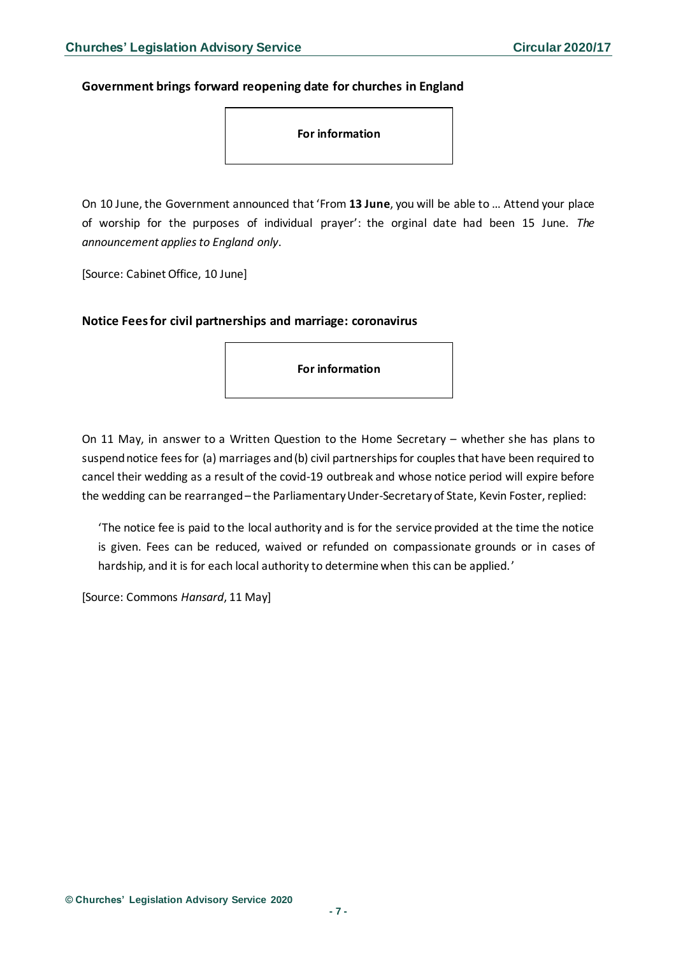#### <span id="page-6-0"></span>**Government brings forward reopening date for churches in England**

**For information** 

On 10 June, the Government announced that 'From **13 June**, you will be able to … Attend your place of worship for the purposes of individual prayer': the orginal date had been 15 June. *The announcement applies to England only*.

[Source: Cabinet Office, 10 June]

<span id="page-6-1"></span>**Notice Fees for civil partnerships and marriage: coronavirus**

**For information** 

On 11 May, in answer to a Written Question to the Home Secretary – whether she has plans to suspend notice fees for (a) marriages and (b) civil partnerships for couples that have been required to cancel their wedding as a result of the covid-19 outbreak and whose notice period will expire before the wedding can be rearranged– the Parliamentary Under-Secretaryof State, Kevin Foster, replied:

'The notice fee is paid to the local authority and is for the service provided at the time the notice is given. Fees can be reduced, waived or refunded on compassionate grounds or in cases of hardship, and it is for each local authority to determine when this can be applied.'

[Source: Commons *Hansard*, 11 May]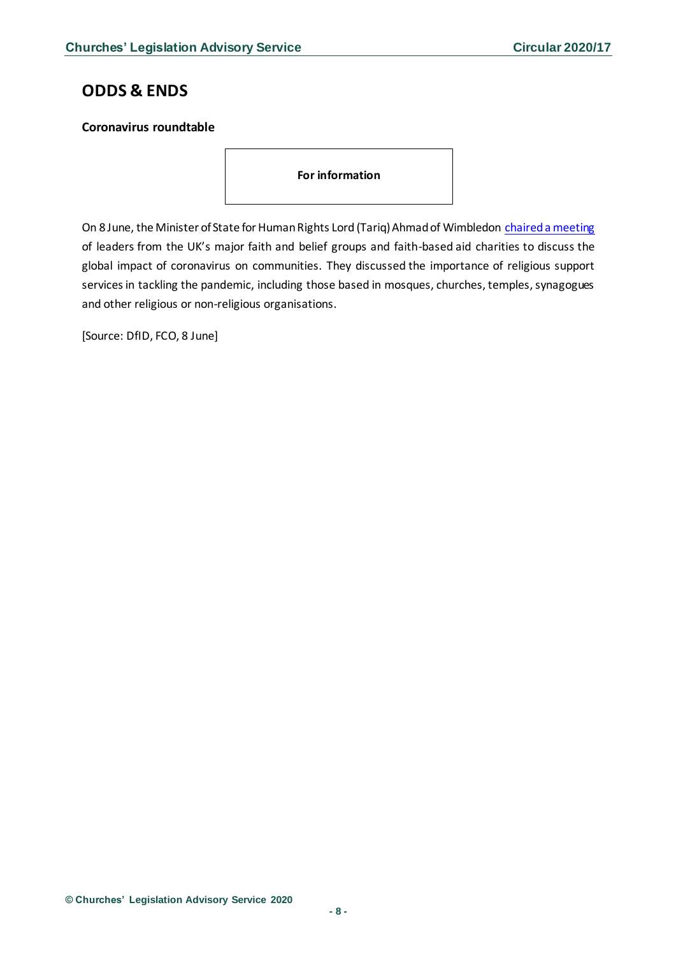## <span id="page-7-0"></span>**ODDS & ENDS**

#### <span id="page-7-1"></span>**Coronavirus roundtable**

**For information**

On 8 June, the Minister of State for Human Rights Lord (Tariq) Ahmad of Wimbledon [chaired a meeting](https://www.gov.uk/government/news/minister-for-human-rights-chairs-coronavirus-roundtable-with-faith-leaders?utm_source=1c32d815-c8f8-49ea-ace9-67c552b0c589&utm_medium=email&utm_campaign=govuk-notifications&utm_content=daily) of leaders from the UK's major faith and belief groups and faith-based aid charities to discuss the global impact of coronavirus on communities. They discussed the importance of religious support services in tackling the pandemic, including those based in mosques, churches, temples, synagogues and other religious or non-religious organisations.

[Source: DfID, FCO, 8 June]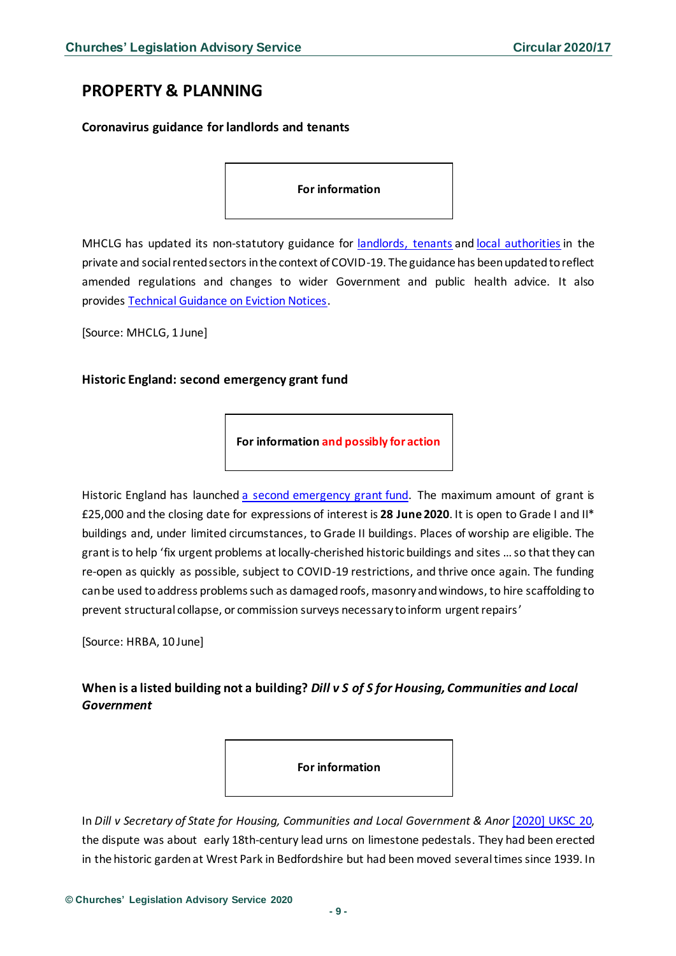# <span id="page-8-0"></span>**PROPERTY & PLANNING**

#### <span id="page-8-1"></span>**Coronavirus guidance for landlords and tenants**

**For information**

MHCLG has updated its non-statutory guidance for [landlords, tenants](https://assets.publishing.service.gov.uk/government/uploads/system/uploads/attachment_data/file/888843/Updated_Landlord_and_Tenant_Guidance.pdf) and [local authorities](https://assets.publishing.service.gov.uk/government/uploads/system/uploads/attachment_data/file/888773/Guidance_for_local_authorities.pdf) in the private and social rented sectors in the context of COVID-19. The guidance has been updated to reflect amended regulations and changes to wider Government and public health advice. It also provides [Technical Guidance on Eviction Notices.](https://assets.publishing.service.gov.uk/government/uploads/system/uploads/attachment_data/file/888808/Technical_guidance_on_eviction_notices.pdf)

[Source: MHCLG, 1 June]

#### <span id="page-8-2"></span>**Historic England: second emergency grant fund**

**For information and possibly for action**

Historic England has launched [a second emergency grant fund.](https://historicengland.org.uk/coronavirus/covid-19-HAR-fund/) The maximum amount of grant is £25,000 and the closing date for expressions of interest is **28 June 2020**. It is open to Grade I and II\* buildings and, under limited circumstances, to Grade II buildings. Places of worship are eligible. The grant is to help 'fix urgent problems at locally-cherished historic buildings and sites …so that they can re-open as quickly as possible, subject to COVID-19 restrictions, and thrive once again. The funding can be used to address problems such as damaged roofs, masonry and windows, to hire scaffolding to prevent structural collapse, or commission surveys necessary to inform urgent repairs'

[Source: HRBA, 10 June]

### <span id="page-8-3"></span>**When is a listed building not a building?** *Dill v S of S for Housing, Communities and Local Government*

**For information** 

In *Dill v Secretary of State for Housing, Communities and Local Government & Anor* [\[2020\] UKSC 20,](https://www.bailii.org/uk/cases/UKSC/2020/20.html) the dispute was about early 18th-century lead urns on limestone pedestals. They had been erected in the historic garden at Wrest Park in Bedfordshire but had been moved several times since 1939. In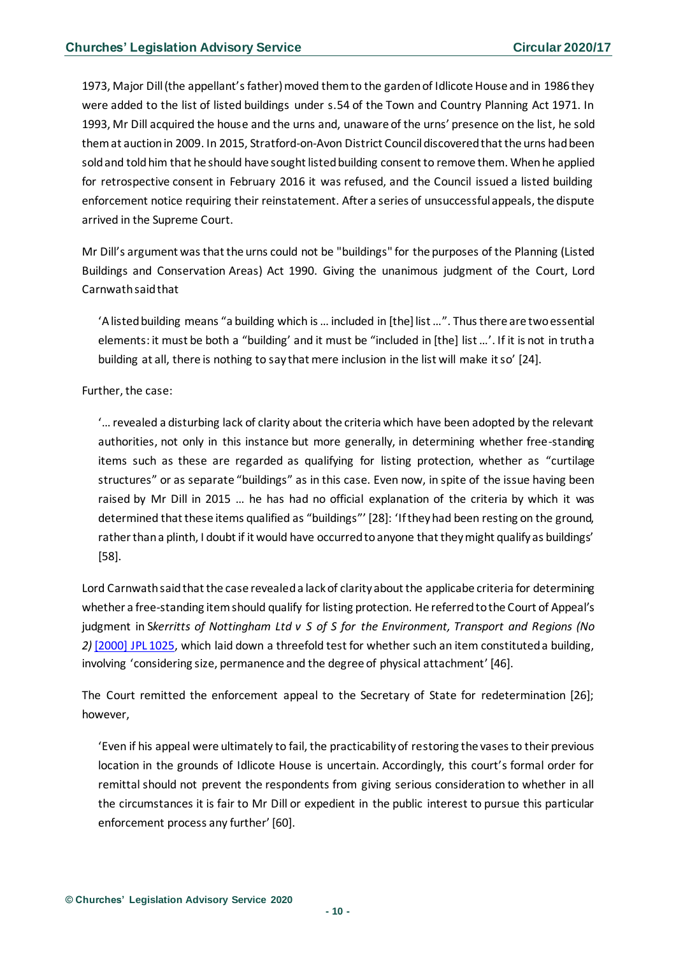1973, Major Dill (the appellant's father) moved them to the garden of Idlicote House and in 1986 they were added to the list of listed buildings under s.54 of the Town and Country Planning Act 1971. In 1993, Mr Dill acquired the house and the urns and, unaware of the urns' presence on the list, he sold them at auction in 2009. In 2015, Stratford-on-Avon District Council discovered that the urns had been sold and told him that he should have sought listed building consent to remove them. When he applied for retrospective consent in February 2016 it was refused, and the Council issued a listed building enforcement notice requiring their reinstatement. After a series of unsuccessful appeals, the dispute arrived in the Supreme Court.

Mr Dill's argument wasthat the urns could not be "buildings" for the purposes of the Planning (Listed Buildings and Conservation Areas) Act 1990. Giving the unanimous judgment of the Court, Lord Carnwath said that

'A listed building means "a building which is … included in [the] list …". Thus there are two essential elements: it must be both a "building' and it must be "included in [the] list …'. If it is not in truth a building at all, there is nothing to say that mere inclusion in the list will make it so' [24].

Further, the case:

'… revealed a disturbing lack of clarity about the criteria which have been adopted by the relevant authorities, not only in this instance but more generally, in determining whether free-standing items such as these are regarded as qualifying for listing protection, whether as "curtilage structures" or as separate "buildings" as in this case. Even now, in spite of the issue having been raised by Mr Dill in 2015 … he has had no official explanation of the criteria by which it was determined that these items qualified as "buildings"' [28]: 'If they had been resting on the ground, rather than a plinth, I doubt if it would have occurred to anyone that they might qualify as buildings' [58].

Lord Carnwath said that the case revealed a lack of clarity about the applicabe criteria for determining whether a free-standing item should qualify for listing protection. He referredto the Court of Appeal's judgment in S*kerritts of Nottingham Ltd v S of S for the Environment, Transport and Regions (No 2)* [\[2000\] JPL 1025,](https://www.bailii.org/cgi-bin/redirect.cgi?path=/ew/cases/EWCA/Civ/2000/5569.html) which laid down a threefold test for whether such an item constituted a building, involving 'considering size, permanence and the degree of physical attachment' [46].

The Court remitted the enforcement appeal to the Secretary of State for redetermination [26]; however,

'Even if his appeal were ultimately to fail, the practicability of restoring the vases to their previous location in the grounds of Idlicote House is uncertain. Accordingly, this court's formal order for remittal should not prevent the respondents from giving serious consideration to whether in all the circumstances it is fair to Mr Dill or expedient in the public interest to pursue this particular enforcement process any further' [60].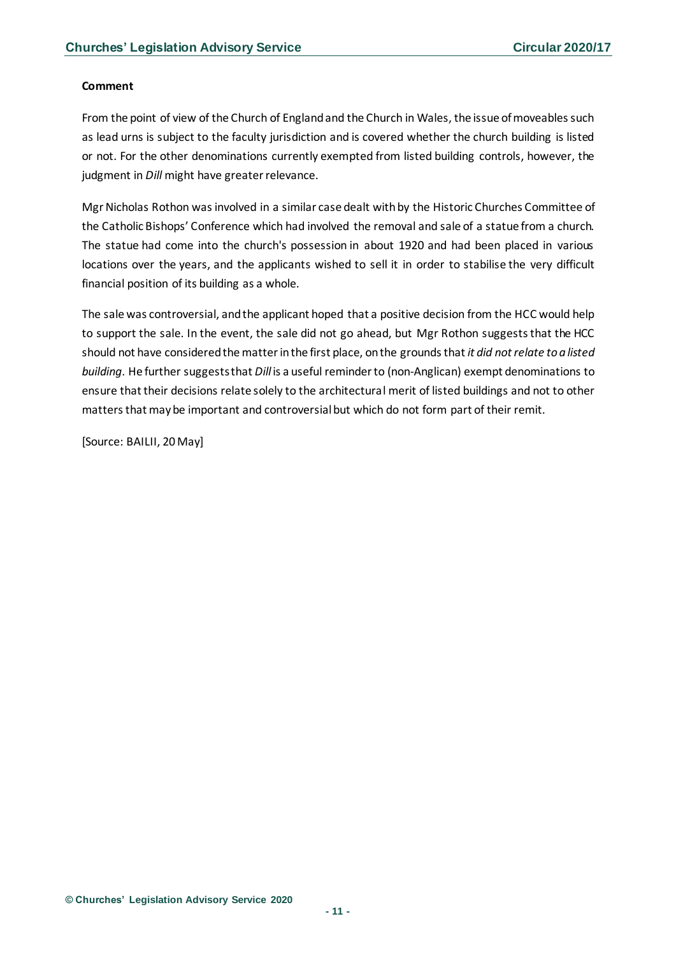#### **Comment**

From the point of view of the Church of England and the Church in Wales, the issue of moveables such as lead urns is subject to the faculty jurisdiction and is covered whether the church building is listed or not. For the other denominations currently exempted from listed building controls, however, the judgment in *Dill* might have greater relevance.

Mgr Nicholas Rothon was involved in a similar case dealt with by the Historic Churches Committee of the Catholic Bishops' Conference which had involved the removal and sale of a statue from a church. The statue had come into the church's possession in about 1920 and had been placed in various locations over the years, and the applicants wished to sell it in order to stabilise the very difficult financial position of its building as a whole.

The sale was controversial, and the applicant hoped that a positive decision from the HCC would help to support the sale. In the event, the sale did not go ahead, but Mgr Rothon suggests that the HCC should not have considered the matter in the first place, on the grounds that *it did not relate to a listed building*. He further suggests that *Dill* is a useful reminder to (non-Anglican) exempt denominations to ensure that their decisions relate solely to the architectural merit of listed buildings and not to other matters that may be important and controversial but which do not form part of their remit.

[Source: BAILII, 20 May]